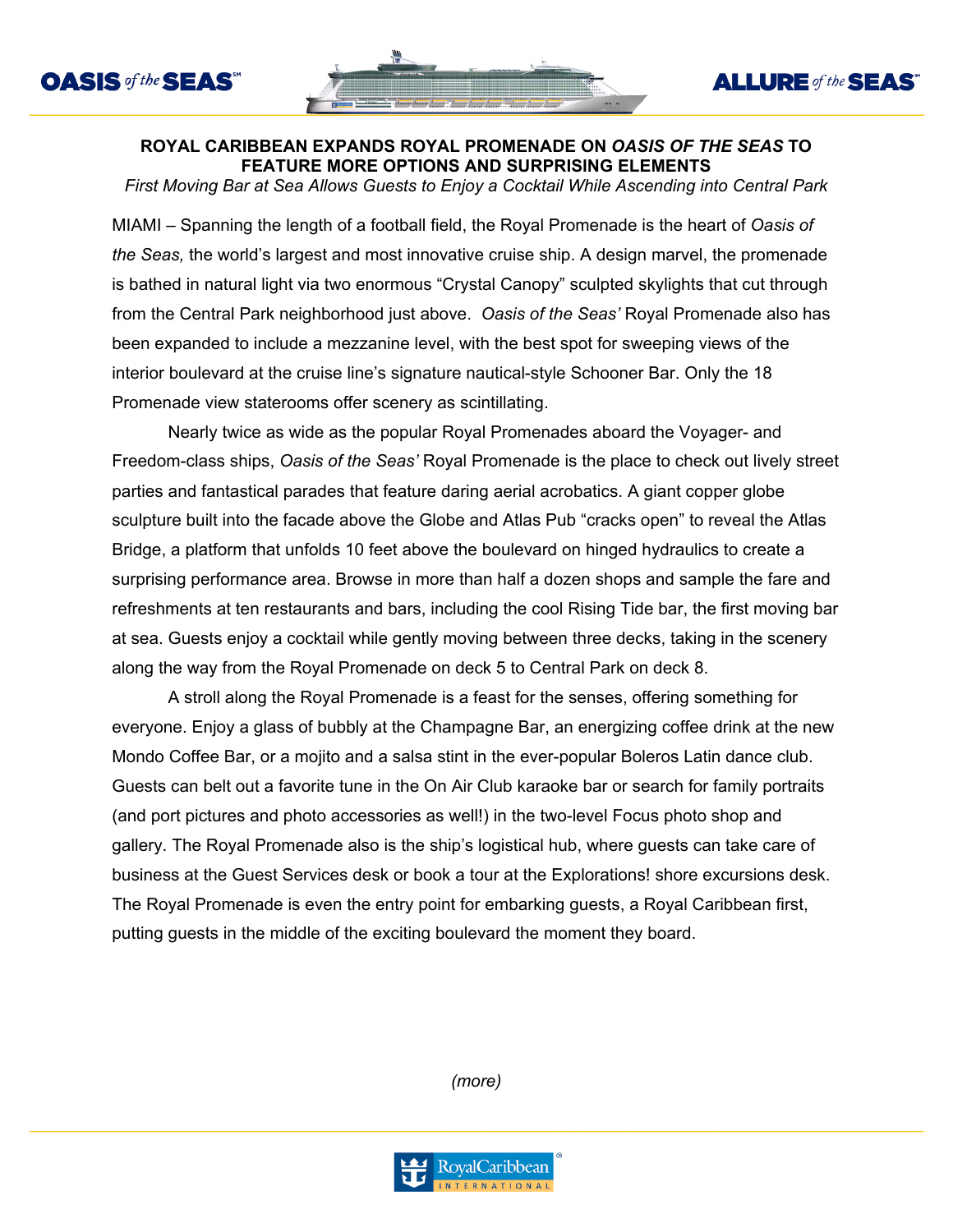



**ALLURE** of the **SEAS** 

## **ROYAL CARIBBEAN EXPANDS ROYAL PROMENADE ON** *OASIS OF THE SEAS* **TO FEATURE MORE OPTIONS AND SURPRISING ELEMENTS**

*First Moving Bar at Sea Allows Guests to Enjoy a Cocktail While Ascending into Central Park*

MIAMI – Spanning the length of a football field, the Royal Promenade is the heart of *Oasis of the Seas,* the world's largest and most innovative cruise ship. A design marvel, the promenade is bathed in natural light via two enormous "Crystal Canopy" sculpted skylights that cut through from the Central Park neighborhood just above. *Oasis of the Seas'* Royal Promenade also has been expanded to include a mezzanine level, with the best spot for sweeping views of the interior boulevard at the cruise line's signature nautical-style Schooner Bar. Only the 18 Promenade view staterooms offer scenery as scintillating.

Nearly twice as wide as the popular Royal Promenades aboard the Voyager- and Freedom-class ships, *Oasis of the Seas'* Royal Promenade is the place to check out lively street parties and fantastical parades that feature daring aerial acrobatics. A giant copper globe sculpture built into the facade above the Globe and Atlas Pub "cracks open" to reveal the Atlas Bridge, a platform that unfolds 10 feet above the boulevard on hinged hydraulics to create a surprising performance area. Browse in more than half a dozen shops and sample the fare and refreshments at ten restaurants and bars, including the cool Rising Tide bar, the first moving bar at sea. Guests enjoy a cocktail while gently moving between three decks, taking in the scenery along the way from the Royal Promenade on deck 5 to Central Park on deck 8.

A stroll along the Royal Promenade is a feast for the senses, offering something for everyone. Enjoy a glass of bubbly at the Champagne Bar, an energizing coffee drink at the new Mondo Coffee Bar, or a mojito and a salsa stint in the ever-popular Boleros Latin dance club. Guests can belt out a favorite tune in the On Air Club karaoke bar or search for family portraits (and port pictures and photo accessories as well!) in the two-level Focus photo shop and gallery. The Royal Promenade also is the ship's logistical hub, where guests can take care of business at the Guest Services desk or book a tour at the Explorations! shore excursions desk. The Royal Promenade is even the entry point for embarking guests, a Royal Caribbean first, putting guests in the middle of the exciting boulevard the moment they board.

*(more)*